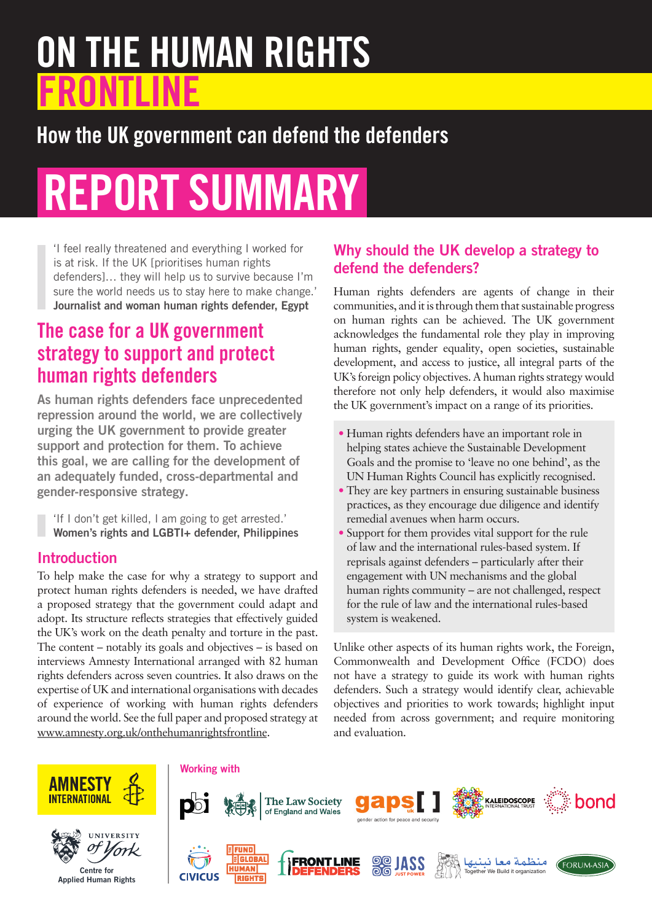# ON THE HUMAN RIGHTS **FRONTLINE**

## How the UK government can defend the defenders

# REPORT SUMMARY

'I feel really threatened and everything I worked for is at risk. If the UK [prioritises human rights defenders]… they will help us to survive because I'm sure the world needs us to stay here to make change.' Journalist and woman human rights defender, Egypt

### The case for a UK government strategy to support and protect human rights defenders

As human rights defenders face unprecedented repression around the world, we are collectively urging the UK government to provide greater support and protection for them. To achieve this goal, we are calling for the development of an adequately funded, cross-departmental and gender-responsive strategy.

'If I don't get killed, I am going to get arrested.' Women's rights and LGBTI+ defender, Philippines

#### **Introduction**

To help make the case for why a strategy to support and protect human rights defenders is needed, we have drafted a proposed strategy that the government could adapt and adopt. Its structure reflects strategies that effectively guided the UK's work on the death penalty and torture in the past. The content – notably its goals and objectives – is based on interviews Amnesty International arranged with 82 human rights defenders across seven countries. It also draws on the expertise of UK and international organisations with decades of experience of working with human rights defenders around the world. See the full paper and proposed strategy at [www.amnesty.org.uk/onthehumanrightsfrontline.](http://www.amnesty.org.uk/onthehumanrightsfrontline)

#### Why should the UK develop a strategy to defend the defenders?

Human rights defenders are agents of change in their communities, and it is through them that sustainable progress on human rights can be achieved. The UK government acknowledges the fundamental role they play in improving human rights, gender equality, open societies, sustainable development, and access to justice, all integral parts of the UK's foreign policy objectives. A human rights strategy would therefore not only help defenders, it would also maximise the UK government's impact on a range of its priorities.

- **•** Human rights defenders have an important role in helping states achieve the Sustainable Development Goals and the promise to 'leave no one behind', as the UN Human Rights Council has explicitly recognised.
- **•** They are key partners in ensuring sustainable business practices, as they encourage due diligence and identify remedial avenues when harm occurs.
- **•** Support for them provides vital support for the rule of law and the international rules-based system. If reprisals against defenders – particularly after their engagement with UN mechanisms and the global human rights community – are not challenged, respect for the rule of law and the international rules-based system is weakened.

Unlike other aspects of its human rights work, the Foreign, Commonwealth and Development Office (FCDO) does not have a strategy to guide its work with human rights defenders. Such a strategy would identify clear, achievable objectives and priorities to work towards; highlight input needed from across government; and require monitoring and evaluation.







#### Working with